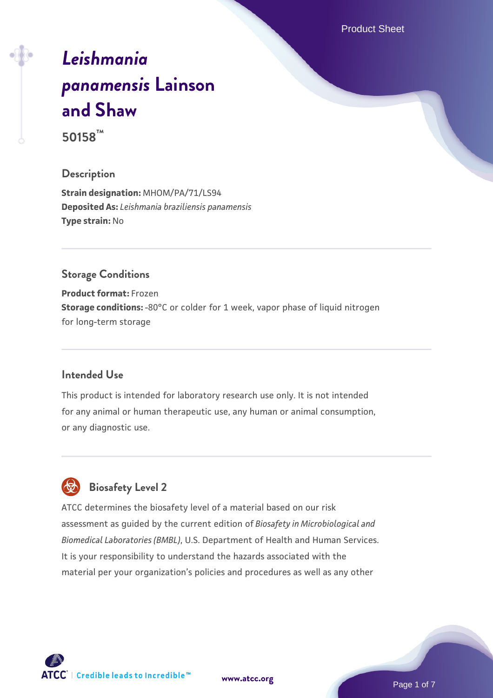Product Sheet

# *[Leishmania](https://www.atcc.org/products/50158) [panamensis](https://www.atcc.org/products/50158)* **[Lainson](https://www.atcc.org/products/50158) [and Shaw](https://www.atcc.org/products/50158) 50158™**

# **Description**

**Strain designation:** MHOM/PA/71/LS94 **Deposited As:** *Leishmania braziliensis panamensis* **Type strain:** No

#### **Storage Conditions**

**Product format:** Frozen **Storage conditions:** -80°C or colder for 1 week, vapor phase of liquid nitrogen for long-term storage

# **Intended Use**

This product is intended for laboratory research use only. It is not intended for any animal or human therapeutic use, any human or animal consumption, or any diagnostic use.



# **Biosafety Level 2**

ATCC determines the biosafety level of a material based on our risk assessment as guided by the current edition of *Biosafety in Microbiological and Biomedical Laboratories (BMBL)*, U.S. Department of Health and Human Services. It is your responsibility to understand the hazards associated with the material per your organization's policies and procedures as well as any other



**[www.atcc.org](http://www.atcc.org)**

Page 1 of 7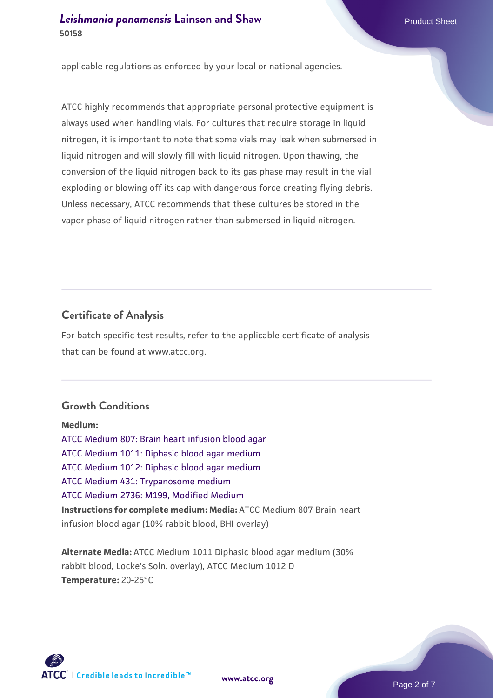applicable regulations as enforced by your local or national agencies.

ATCC highly recommends that appropriate personal protective equipment is always used when handling vials. For cultures that require storage in liquid nitrogen, it is important to note that some vials may leak when submersed in liquid nitrogen and will slowly fill with liquid nitrogen. Upon thawing, the conversion of the liquid nitrogen back to its gas phase may result in the vial exploding or blowing off its cap with dangerous force creating flying debris. Unless necessary, ATCC recommends that these cultures be stored in the vapor phase of liquid nitrogen rather than submersed in liquid nitrogen.

# **Certificate of Analysis**

For batch-specific test results, refer to the applicable certificate of analysis that can be found at www.atcc.org.

# **Growth Conditions**

**Medium:**  [ATCC Medium 807: Brain heart infusion blood agar](https://www.atcc.org/-/media/product-assets/documents/microbial-media-formulations/8/0/7/atcc-medium-807.pdf?rev=301d96d4d35d4fb3a6206197a72fb728) [ATCC Medium 1011: Diphasic blood agar medium](https://www.atcc.org/-/media/product-assets/documents/microbial-media-formulations/1/0/1/1/atcc-medium-1011.pdf?rev=a9474d33d1d5486daab015890721755f) [ATCC Medium 1012: Diphasic blood agar medium](https://www.atcc.org/-/media/product-assets/documents/microbial-media-formulations/1/0/1/2/atcc-medium-1012.pdf?rev=38b18eaded954098bc05b4add95c2fa4) [ATCC Medium 431: Trypanosome medium](https://www.atcc.org/-/media/product-assets/documents/microbial-media-formulations/4/3/1/atcc-medium-431.pdf?rev=e51493ec43ea498098369514fe253a58) [ATCC Medium 2736: M199, Modified Medium](https://www.atcc.org/-/media/product-assets/documents/microbial-media-formulations/2/7/3/6/atcc-medium-2736.pdf?rev=f5d560869bf6430f9b583c4e07c44564) **Instructions for complete medium: Media:** ATCC Medium 807 Brain heart infusion blood agar (10% rabbit blood, BHI overlay)

**Alternate Media:** ATCC Medium 1011 Diphasic blood agar medium (30% rabbit blood, Locke's Soln. overlay), ATCC Medium 1012 D **Temperature:** 20-25°C



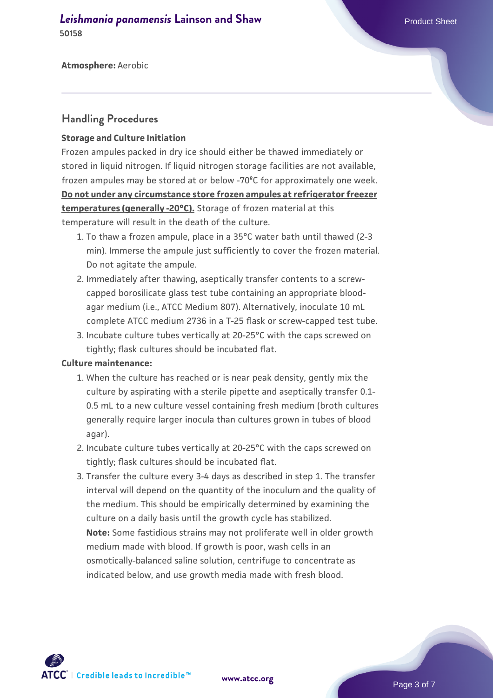#### *[Leishmania panamensis](https://www.atcc.org/products/50158)* [Lainson and Shaw](https://www.atcc.org/products/50158) **Product Sheet** Product Sheet **50158**

**Atmosphere:** Aerobic

#### **Handling Procedures**

#### **Storage and Culture Initiation**

Frozen ampules packed in dry ice should either be thawed immediately or stored in liquid nitrogen. If liquid nitrogen storage facilities are not available, frozen ampules may be stored at or below -70ºC for approximately one week. **Do not under any circumstance store frozen ampules at refrigerator freezer temperatures (generally -20°C).** Storage of frozen material at this temperature will result in the death of the culture.

- To thaw a frozen ampule, place in a 35°C water bath until thawed (2-3 1. min). Immerse the ampule just sufficiently to cover the frozen material. Do not agitate the ampule.
- 2. Immediately after thawing, aseptically transfer contents to a screwcapped borosilicate glass test tube containing an appropriate bloodagar medium (i.e., ATCC Medium 807). Alternatively, inoculate 10 mL complete ATCC medium 2736 in a T-25 flask or screw-capped test tube.
- 3. Incubate culture tubes vertically at 20-25°C with the caps screwed on tightly; flask cultures should be incubated flat.

#### **Culture maintenance:**

- 1. When the culture has reached or is near peak density, gently mix the culture by aspirating with a sterile pipette and aseptically transfer 0.1- 0.5 mL to a new culture vessel containing fresh medium (broth cultures generally require larger inocula than cultures grown in tubes of blood agar).
- 2. Incubate culture tubes vertically at 20-25°C with the caps screwed on tightly; flask cultures should be incubated flat.
- 3. Transfer the culture every 3-4 days as described in step 1. The transfer interval will depend on the quantity of the inoculum and the quality of the medium. This should be empirically determined by examining the culture on a daily basis until the growth cycle has stabilized. **Note:** Some fastidious strains may not proliferate well in older growth medium made with blood. If growth is poor, wash cells in an osmotically-balanced saline solution, centrifuge to concentrate as indicated below, and use growth media made with fresh blood.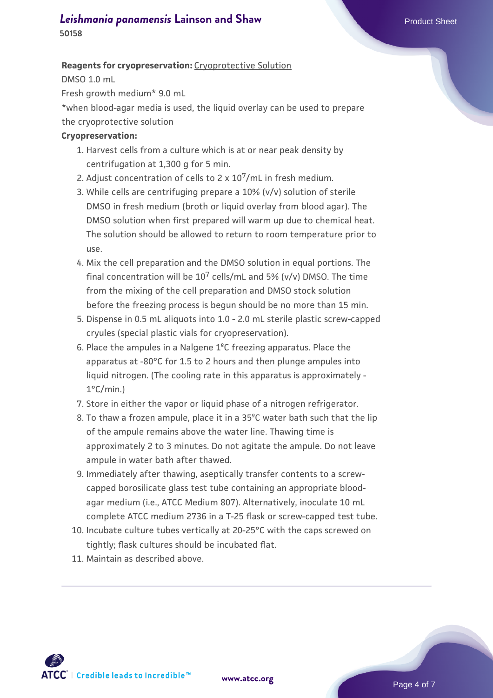# *[Leishmania panamensis](https://www.atcc.org/products/50158)* [Lainson and Shaw](https://www.atcc.org/products/50158) **Product Sheet** Product Sheet

**50158**

#### **Reagents for cryopreservation:** Cryoprotective Solution

DMSO 1.0 mL

Fresh growth medium\* 9.0 mL

\*when blood-agar media is used, the liquid overlay can be used to prepare the cryoprotective solution

#### **Cryopreservation:**

- 1. Harvest cells from a culture which is at or near peak density by centrifugation at 1,300 g for 5 min.
- 2. Adjust concentration of cells to  $2 \times 10^7$ /mL in fresh medium.
- While cells are centrifuging prepare a 10% (v/v) solution of sterile 3. DMSO in fresh medium (broth or liquid overlay from blood agar). The DMSO solution when first prepared will warm up due to chemical heat. The solution should be allowed to return to room temperature prior to use.
- 4. Mix the cell preparation and the DMSO solution in equal portions. The final concentration will be  $10^7$  cells/mL and 5% (v/v) DMSO. The time from the mixing of the cell preparation and DMSO stock solution before the freezing process is begun should be no more than 15 min.
- 5. Dispense in 0.5 mL aliquots into 1.0 2.0 mL sterile plastic screw-capped cryules (special plastic vials for cryopreservation).
- 6. Place the ampules in a Nalgene  $1^{\circ}$ C freezing apparatus. Place the apparatus at -80°C for 1.5 to 2 hours and then plunge ampules into liquid nitrogen. (The cooling rate in this apparatus is approximately - 1°C/min.)
- 7. Store in either the vapor or liquid phase of a nitrogen refrigerator.
- To thaw a frozen ampule, place it in a 35ºC water bath such that the lip 8. of the ampule remains above the water line. Thawing time is approximately 2 to 3 minutes. Do not agitate the ampule. Do not leave ampule in water bath after thawed.
- Immediately after thawing, aseptically transfer contents to a screw-9. capped borosilicate glass test tube containing an appropriate bloodagar medium (i.e., ATCC Medium 807). Alternatively, inoculate 10 mL complete ATCC medium 2736 in a T-25 flask or screw-capped test tube.
- Incubate culture tubes vertically at 20-25°C with the caps screwed on 10. tightly; flask cultures should be incubated flat.
- 11. Maintain as described above.

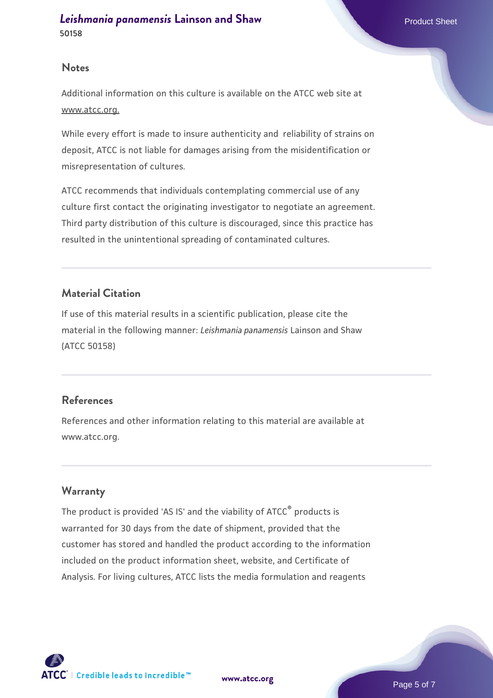#### **Notes**

Additional information on this culture is available on the ATCC web site at www.atcc.org.

While every effort is made to insure authenticity and reliability of strains on deposit, ATCC is not liable for damages arising from the misidentification or misrepresentation of cultures.

ATCC recommends that individuals contemplating commercial use of any culture first contact the originating investigator to negotiate an agreement. Third party distribution of this culture is discouraged, since this practice has resulted in the unintentional spreading of contaminated cultures.

# **Material Citation**

If use of this material results in a scientific publication, please cite the material in the following manner: *Leishmania panamensis* Lainson and Shaw (ATCC 50158)

# **References**

References and other information relating to this material are available at www.atcc.org.

# **Warranty**

The product is provided 'AS IS' and the viability of ATCC® products is warranted for 30 days from the date of shipment, provided that the customer has stored and handled the product according to the information included on the product information sheet, website, and Certificate of Analysis. For living cultures, ATCC lists the media formulation and reagents

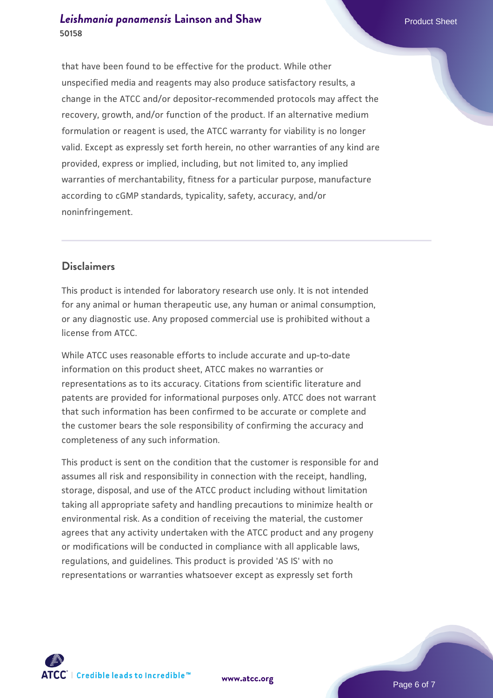# *[Leishmania panamensis](https://www.atcc.org/products/50158)* [Lainson and Shaw](https://www.atcc.org/products/50158) **Product Sheet** Product Sheet **50158**

that have been found to be effective for the product. While other unspecified media and reagents may also produce satisfactory results, a change in the ATCC and/or depositor-recommended protocols may affect the recovery, growth, and/or function of the product. If an alternative medium formulation or reagent is used, the ATCC warranty for viability is no longer valid. Except as expressly set forth herein, no other warranties of any kind are provided, express or implied, including, but not limited to, any implied warranties of merchantability, fitness for a particular purpose, manufacture according to cGMP standards, typicality, safety, accuracy, and/or noninfringement.

# **Disclaimers**

This product is intended for laboratory research use only. It is not intended for any animal or human therapeutic use, any human or animal consumption, or any diagnostic use. Any proposed commercial use is prohibited without a license from ATCC.

While ATCC uses reasonable efforts to include accurate and up-to-date information on this product sheet, ATCC makes no warranties or representations as to its accuracy. Citations from scientific literature and patents are provided for informational purposes only. ATCC does not warrant that such information has been confirmed to be accurate or complete and the customer bears the sole responsibility of confirming the accuracy and completeness of any such information.

This product is sent on the condition that the customer is responsible for and assumes all risk and responsibility in connection with the receipt, handling, storage, disposal, and use of the ATCC product including without limitation taking all appropriate safety and handling precautions to minimize health or environmental risk. As a condition of receiving the material, the customer agrees that any activity undertaken with the ATCC product and any progeny or modifications will be conducted in compliance with all applicable laws, regulations, and guidelines. This product is provided 'AS IS' with no representations or warranties whatsoever except as expressly set forth



**[www.atcc.org](http://www.atcc.org)**

Page 6 of 7